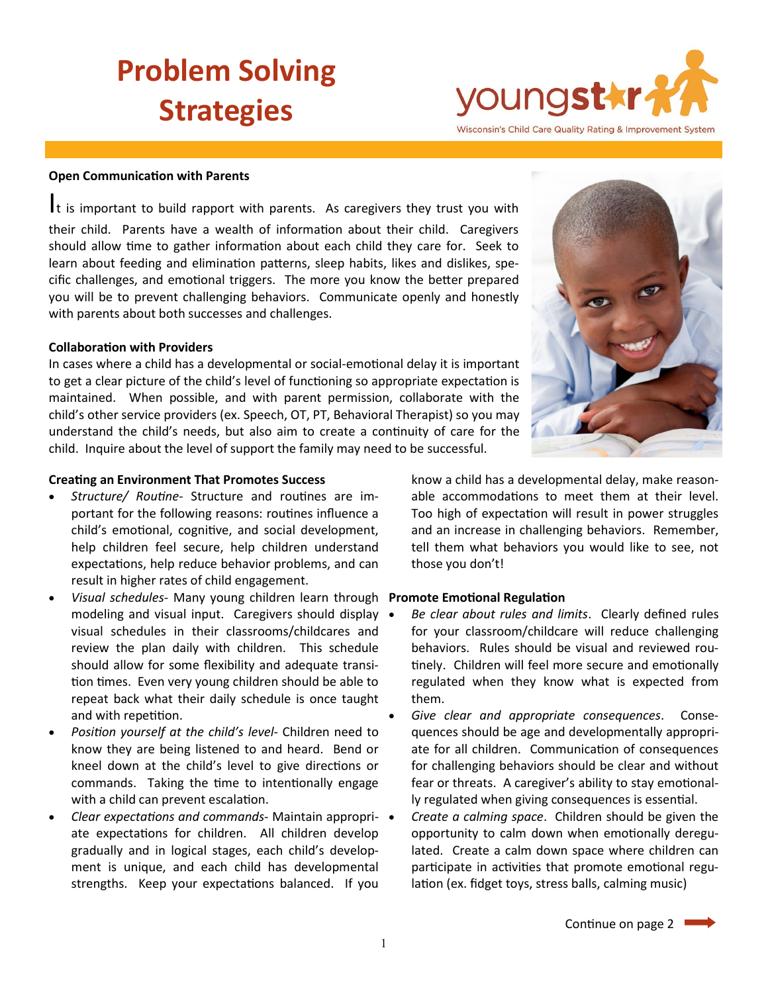### **Problem Solving Strategies**

# youngstkr-Wisconsin's Child Care Quality Rating & Improvement System

### **Open Communication with Parents**

It is important to build rapport with parents. As caregivers they trust you with their child. Parents have a wealth of information about their child. Caregivers should allow time to gather information about each child they care for. Seek to learn about feeding and elimination patterns, sleep habits, likes and dislikes, specific challenges, and emotional triggers. The more you know the better prepared you will be to prevent challenging behaviors. Communicate openly and honestly with parents about both successes and challenges.

### **Collaboration with Providers**

In cases where a child has a developmental or social-emotional delay it is important to get a clear picture of the child's level of functioning so appropriate expectation is maintained. When possible, and with parent permission, collaborate with the child's other service providers (ex. Speech, OT, PT, Behavioral Therapist) so you may understand the child's needs, but also aim to create a continuity of care for the child. Inquire about the level of support the family may need to be successful.

### **Creating an Environment That Promotes Success**

- *Structure/ Routine* Structure and routines are important for the following reasons: routines influence a child's emotional, cognitive, and social development, help children feel secure, help children understand expectations, help reduce behavior problems, and can result in higher rates of child engagement.
- *Visual schedules* Many young children learn through **Promote Emotional Regulation** modeling and visual input. Caregivers should display visual schedules in their classrooms/childcares and review the plan daily with children. This schedule should allow for some flexibility and adequate transition times. Even very young children should be able to repeat back what their daily schedule is once taught and with repetition.
- *Position yourself at the child's level* Children need to know they are being listened to and heard. Bend or kneel down at the child's level to give directions or commands. Taking the time to intentionally engage with a child can prevent escalation.
- *Clear expectations and commands* Maintain appropriate expectations for children. All children develop gradually and in logical stages, each child's development is unique, and each child has developmental strengths. Keep your expectations balanced. If you

know a child has a developmental delay, make reasonable accommodations to meet them at their level. Too high of expectation will result in power struggles and an increase in challenging behaviors. Remember, tell them what behaviors you would like to see, not those you don't!

- *Be clear about rules and limits*. Clearly defined rules for your classroom/childcare will reduce challenging behaviors. Rules should be visual and reviewed routinely. Children will feel more secure and emotionally regulated when they know what is expected from them.
- *Give clear and appropriate consequences*. Consequences should be age and developmentally appropriate for all children. Communication of consequences for challenging behaviors should be clear and without fear or threats. A caregiver's ability to stay emotionally regulated when giving consequences is essential.
- *Create a calming space*. Children should be given the opportunity to calm down when emotionally deregulated. Create a calm down space where children can participate in activities that promote emotional regulation (ex. fidget toys, stress balls, calming music)